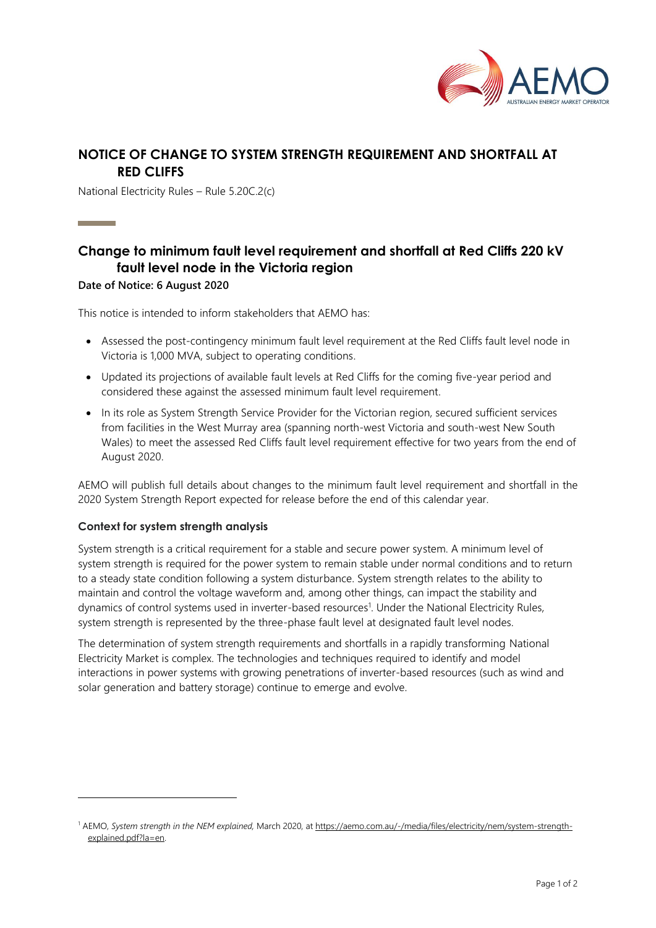

# **NOTICE OF CHANGE TO SYSTEM STRENGTH REQUIREMENT AND SHORTFALL AT RED CLIFFS**

National Electricity Rules – Rule 5.20C.2(c)

# **Change to minimum fault level requirement and shortfall at Red Cliffs 220 kV fault level node in the Victoria region**

## **Date of Notice: 6 August 2020**

This notice is intended to inform stakeholders that AEMO has:

- Assessed the post-contingency minimum fault level requirement at the Red Cliffs fault level node in Victoria is 1,000 MVA, subject to operating conditions.
- Updated its projections of available fault levels at Red Cliffs for the coming five-year period and considered these against the assessed minimum fault level requirement.
- In its role as System Strength Service Provider for the Victorian region, secured sufficient services from facilities in the West Murray area (spanning north-west Victoria and south-west New South Wales) to meet the assessed Red Cliffs fault level requirement effective for two years from the end of August 2020.

AEMO will publish full details about changes to the minimum fault level requirement and shortfall in the 2020 System Strength Report expected for release before the end of this calendar year.

## **Context for system strength analysis**

System strength is a critical requirement for a stable and secure power system. A minimum level of system strength is required for the power system to remain stable under normal conditions and to return to a steady state condition following a system disturbance. System strength relates to the ability to maintain and control the voltage waveform and, among other things, can impact the stability and dynamics of control systems used in inverter-based resources<sup>1</sup>. Under the National Electricity Rules, system strength is represented by the three-phase fault level at designated fault level nodes.

The determination of system strength requirements and shortfalls in a rapidly transforming National Electricity Market is complex. The technologies and techniques required to identify and model interactions in power systems with growing penetrations of inverter-based resources (such as wind and solar generation and battery storage) continue to emerge and evolve.

<sup>1</sup> AEMO, *System strength in the NEM explained,* March 2020, a[t https://aemo.com.au/-/media/files/electricity/nem/system-strength](https://aemo.com.au/-/media/files/electricity/nem/system-strength-explained.pdf?la=en)[explained.pdf?la=en.](https://aemo.com.au/-/media/files/electricity/nem/system-strength-explained.pdf?la=en)